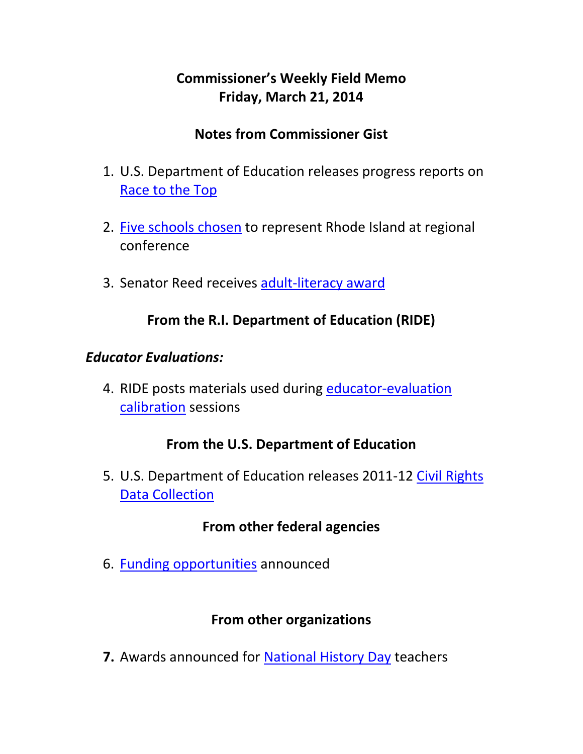# **Commissioner's Weekly Field Memo Friday, March 21, 2014**

## **Notes from Commissioner Gist**

- 1. U.S. Department of Education releases progress reports on Race to the Top
- 2. Five schools chosen to represent Rhode Island at regional conference
- 3. Senator Reed receives adult‐literacy award

## **From the R.I. Department of Education (RIDE)**

#### *Educator Evaluations:*

4. RIDE posts materials used during educator-evaluation calibration sessions

# **From the U.S. Department of Education**

5. U.S. Department of Education releases 2011‐12 Civil Rights Data Collection

## **From other federal agencies**

6. Funding opportunities announced

## **From other organizations**

**7.** Awards announced for National History Day teachers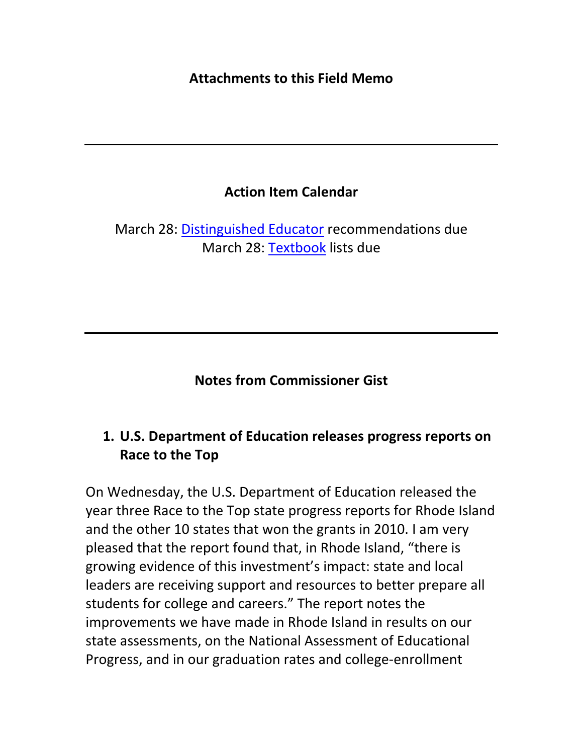#### **Attachments to this Field Memo**

## **Action Item Calendar**

March 28: Distinguished Educator recommendations due March 28: Textbook lists due

**Notes from Commissioner Gist**

# **1. U.S. Department of Education releases progress reports on Race to the Top**

On Wednesday, the U.S. Department of Education released the year three Race to the Top state progress reports for Rhode Island and the other 10 states that won the grants in 2010. I am very pleased that the report found that, in Rhode Island, "there is growing evidence of this investment's impact: state and local leaders are receiving support and resources to better prepare all students for college and careers." The report notes the improvements we have made in Rhode Island in results on our state assessments, on the National Assessment of Educational Progress, and in our graduation rates and college‐enrollment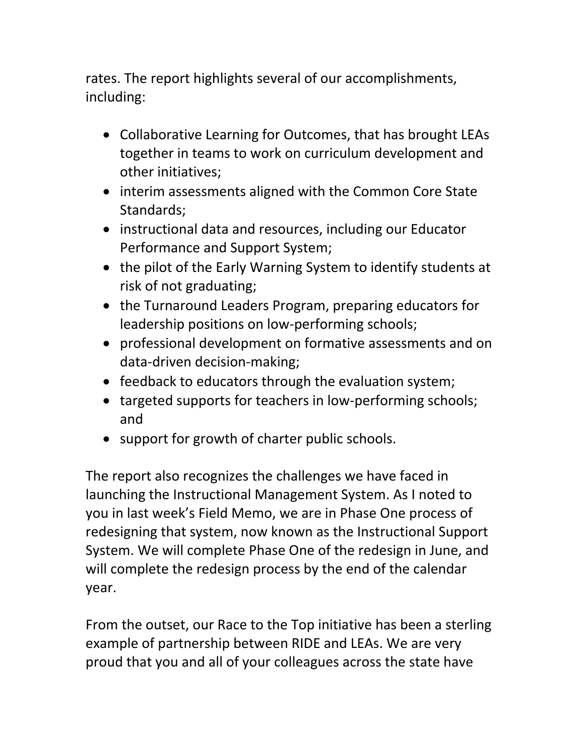rates. The report highlights several of our accomplishments, including:

- Collaborative Learning for Outcomes, that has brought LEAs together in teams to work on curriculum development and other initiatives;
- interim assessments aligned with the Common Core State Standards;
- instructional data and resources, including our Educator Performance and Support System;
- the pilot of the Early Warning System to identify students at risk of not graduating;
- the Turnaround Leaders Program, preparing educators for leadership positions on low‐performing schools;
- professional development on formative assessments and on data‐driven decision‐making;
- feedback to educators through the evaluation system;
- targeted supports for teachers in low-performing schools; and
- support for growth of charter public schools.

The report also recognizes the challenges we have faced in launching the Instructional Management System. As I noted to you in last week's Field Memo, we are in Phase One process of redesigning that system, now known as the Instructional Support System. We will complete Phase One of the redesign in June, and will complete the redesign process by the end of the calendar year.

From the outset, our Race to the Top initiative has been a sterling example of partnership between RIDE and LEAs. We are very proud that you and all of your colleagues across the state have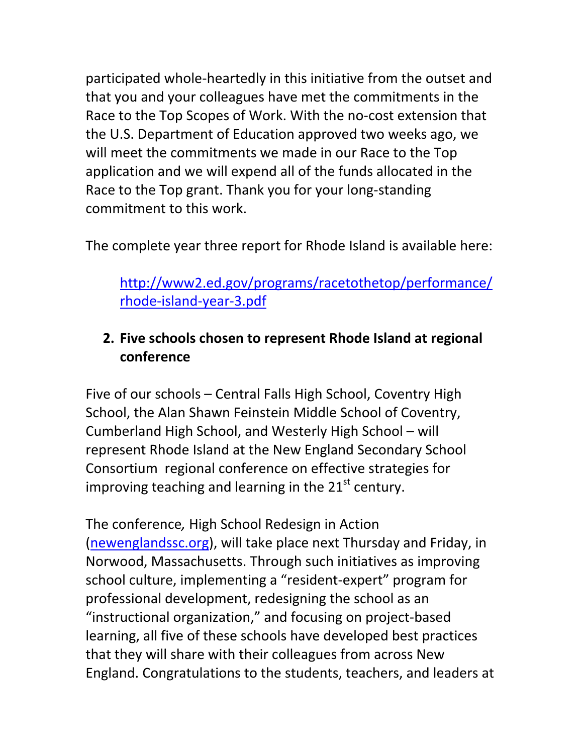participated whole‐heartedly in this initiative from the outset and that you and your colleagues have met the commitments in the Race to the Top Scopes of Work. With the no‐cost extension that the U.S. Department of Education approved two weeks ago, we will meet the commitments we made in our Race to the Top application and we will expend all of the funds allocated in the Race to the Top grant. Thank you for your long‐standing commitment to this work.

The complete year three report for Rhode Island is available here:

http://www2.ed.gov/programs/racetothetop/performance/ rhode‐island‐year‐3.pdf

# **2. Five schools chosen to represent Rhode Island at regional conference**

Five of our schools – Central Falls High School, Coventry High School, the Alan Shawn Feinstein Middle School of Coventry, Cumberland High School, and Westerly High School – will represent Rhode Island at the New England Secondary School Consortium regional conference on effective strategies for improving teaching and learning in the  $21<sup>st</sup>$  century.

The conference*,* High School Redesign in Action (newenglandssc.org), will take place next Thursday and Friday, in Norwood, Massachusetts. Through such initiatives as improving school culture, implementing a "resident‐expert" program for professional development, redesigning the school as an "instructional organization," and focusing on project‐based learning, all five of these schools have developed best practices that they will share with their colleagues from across New England. Congratulations to the students, teachers, and leaders at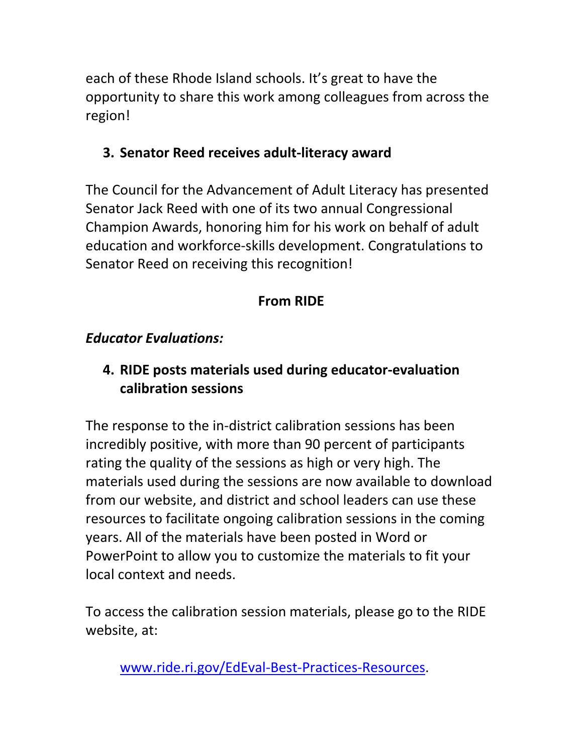each of these Rhode Island schools. It's great to have the opportunity to share this work among colleagues from across the region!

# **3. Senator Reed receives adult‐literacy award**

The Council for the Advancement of Adult Literacy has presented Senator Jack Reed with one of its two annual Congressional Champion Awards, honoring him for his work on behalf of adult education and workforce‐skills development. Congratulations to Senator Reed on receiving this recognition!

# **From RIDE**

## *Educator Evaluations:*

# **4. RIDE posts materials used during educator‐evaluation calibration sessions**

The response to the in-district calibration sessions has been incredibly positive, with more than 90 percent of participants rating the quality of the sessions as high or very high. The materials used during the sessions are now available to download from our website, and district and school leaders can use these resources to facilitate ongoing calibration sessions in the coming years. All of the materials have been posted in Word or PowerPoint to allow you to customize the materials to fit your local context and needs.

To access the calibration session materials, please go to the RIDE website, at:

www.ride.ri.gov/EdEval‐Best‐Practices‐Resources.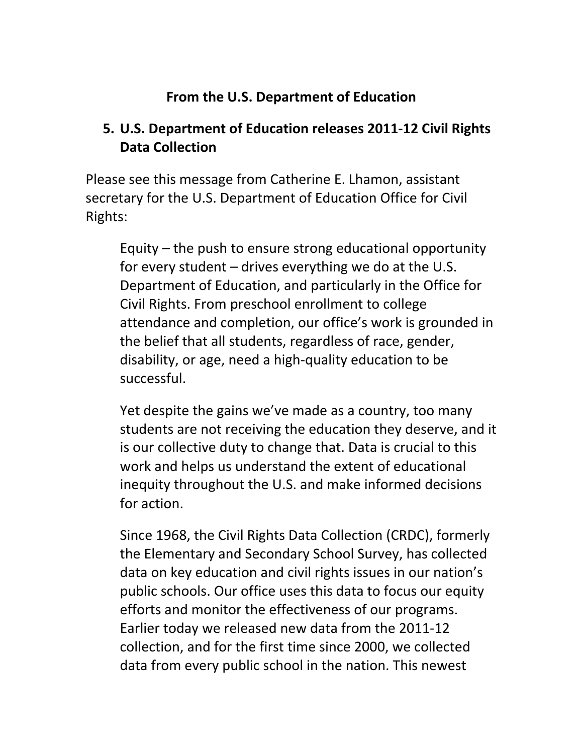## **From the U.S. Department of Education**

## **5. U.S. Department of Education releases 2011‐12 Civil Rights Data Collection**

Please see this message from Catherine E. Lhamon, assistant secretary for the U.S. Department of Education Office for Civil Rights:

Equity – the push to ensure strong educational opportunity for every student – drives everything we do at the U.S. Department of Education, and particularly in the Office for Civil Rights. From preschool enrollment to college attendance and completion, our office's work is grounded in the belief that all students, regardless of race, gender, disability, or age, need a high‐quality education to be successful.

Yet despite the gains we've made as a country, too many students are not receiving the education they deserve, and it is our collective duty to change that. Data is crucial to this work and helps us understand the extent of educational inequity throughout the U.S. and make informed decisions for action.

Since 1968, the Civil Rights Data Collection (CRDC), formerly the Elementary and Secondary School Survey, has collected data on key education and civil rights issues in our nation's public schools. Our office uses this data to focus our equity efforts and monitor the effectiveness of our programs. Earlier today we released new data from the 2011‐12 collection, and for the first time since 2000, we collected data from every public school in the nation. This newest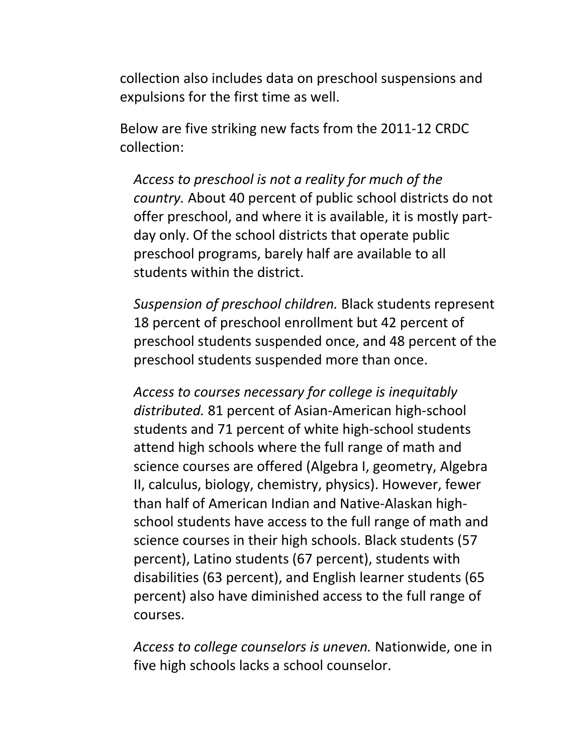collection also includes data on preschool suspensions and expulsions for the first time as well.

Below are five striking new facts from the 2011‐12 CRDC collection:

*Access to preschool is not a reality for much of the country.* About 40 percent of public school districts do not offer preschool, and where it is available, it is mostly part‐ day only. Of the school districts that operate public preschool programs, barely half are available to all students within the district.

*Suspension of preschool children.* Black students represent 18 percent of preschool enrollment but 42 percent of preschool students suspended once, and 48 percent of the preschool students suspended more than once.

*Access to courses necessary for college is inequitably distributed.* 81 percent of Asian‐American high‐school students and 71 percent of white high‐school students attend high schools where the full range of math and science courses are offered (Algebra I, geometry, Algebra II, calculus, biology, chemistry, physics). However, fewer than half of American Indian and Native‐Alaskan high‐ school students have access to the full range of math and science courses in their high schools. Black students (57 percent), Latino students (67 percent), students with disabilities (63 percent), and English learner students (65 percent) also have diminished access to the full range of courses.

*Access to college counselors is uneven.* Nationwide, one in five high schools lacks a school counselor.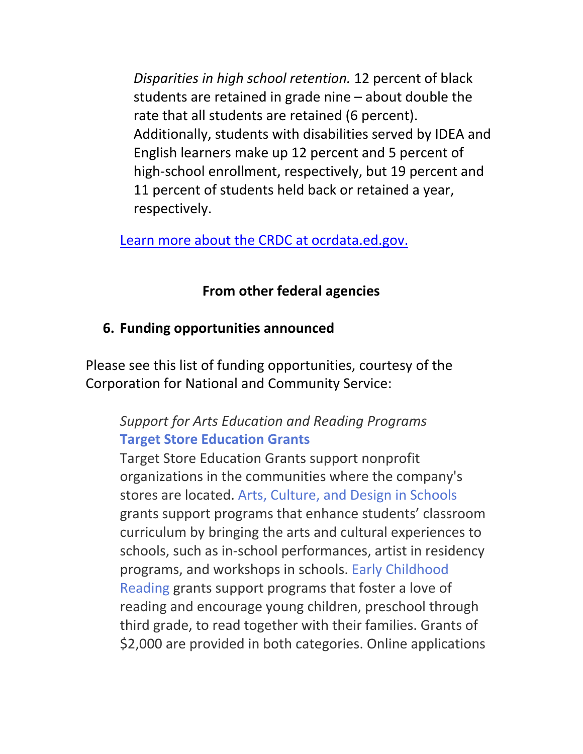*Disparities in high school retention.* 12 percent of black students are retained in grade nine – about double the rate that all students are retained (6 percent). Additionally, students with disabilities served by IDEA and English learners make up 12 percent and 5 percent of high-school enrollment, respectively, but 19 percent and 11 percent of students held back or retained a year, respectively.

Learn more about the CRDC at ocrdata.ed.gov.

# **From other federal agencies**

# **6. Funding opportunities announced**

Please see this list of funding opportunities, courtesy of the Corporation for National and Community Service:

# *Support for Arts Education and Reading Programs* **Target Store Education Grants**

Target Store Education Grants support nonprofit organizations in the communities where the company's stores are located. Arts, Culture, and Design in Schools grants support programs that enhance students' classroom curriculum by bringing the arts and cultural experiences to schools, such as in‐school performances, artist in residency programs, and workshops in schools. Early Childhood Reading grants support programs that foster a love of reading and encourage young children, preschool through third grade, to read together with their families. Grants of \$2,000 are provided in both categories. Online applications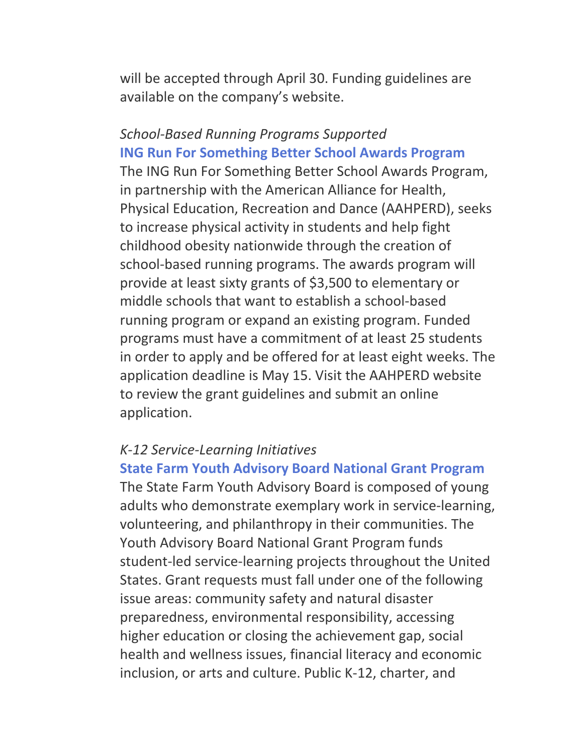will be accepted through April 30. Funding guidelines are available on the company's website.

*School‐Based Running Programs Supported* **ING Run For Something Better School Awards Program** The ING Run For Something Better School Awards Program, in partnership with the American Alliance for Health, Physical Education, Recreation and Dance (AAHPERD), seeks to increase physical activity in students and help fight childhood obesity nationwide through the creation of school‐based running programs. The awards program will provide at least sixty grants of \$3,500 to elementary or middle schools that want to establish a school‐based running program or expand an existing program. Funded programs must have a commitment of at least 25 students in order to apply and be offered for at least eight weeks. The application deadline is May 15. Visit the AAHPERD website to review the grant guidelines and submit an online application.

#### *K‐12 Service‐Learning Initiatives*

**State Farm Youth Advisory Board National Grant Program** The State Farm Youth Advisory Board is composed of young

adults who demonstrate exemplary work in service‐learning, volunteering, and philanthropy in their communities. The Youth Advisory Board National Grant Program funds student‐led service‐learning projects throughout the United States. Grant requests must fall under one of the following issue areas: community safety and natural disaster preparedness, environmental responsibility, accessing higher education or closing the achievement gap, social health and wellness issues, financial literacy and economic inclusion, or arts and culture. Public K‐12, charter, and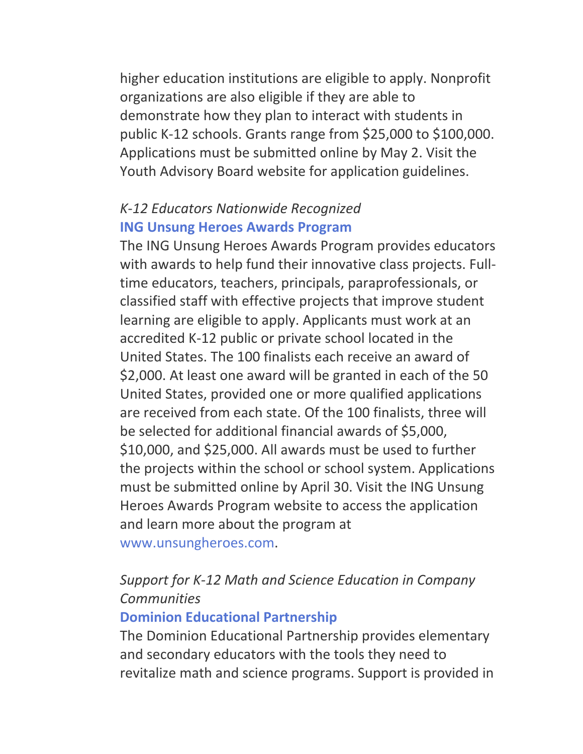higher education institutions are eligible to apply. Nonprofit organizations are also eligible if they are able to demonstrate how they plan to interact with students in public K‐12 schools. Grants range from \$25,000 to \$100,000. Applications must be submitted online by May 2. Visit the Youth Advisory Board website for application guidelines.

## *K‐12 Educators Nationwide Recognized* **ING Unsung Heroes Awards Program**

The ING Unsung Heroes Awards Program provides educators with awards to help fund their innovative class projects. Fulltime educators, teachers, principals, paraprofessionals, or classified staff with effective projects that improve student learning are eligible to apply. Applicants must work at an accredited K‐12 public or private school located in the United States. The 100 finalists each receive an award of \$2,000. At least one award will be granted in each of the 50 United States, provided one or more qualified applications are received from each state. Of the 100 finalists, three will be selected for additional financial awards of \$5,000, \$10,000, and \$25,000. All awards must be used to further the projects within the school or school system. Applications must be submitted online by April 30. Visit the ING Unsung Heroes Awards Program website to access the application and learn more about the program at www.unsungheroes.com.

# *Support for K‐12 Math and Science Education in Company Communities*

#### **Dominion Educational Partnership**

The Dominion Educational Partnership provides elementary and secondary educators with the tools they need to revitalize math and science programs. Support is provided in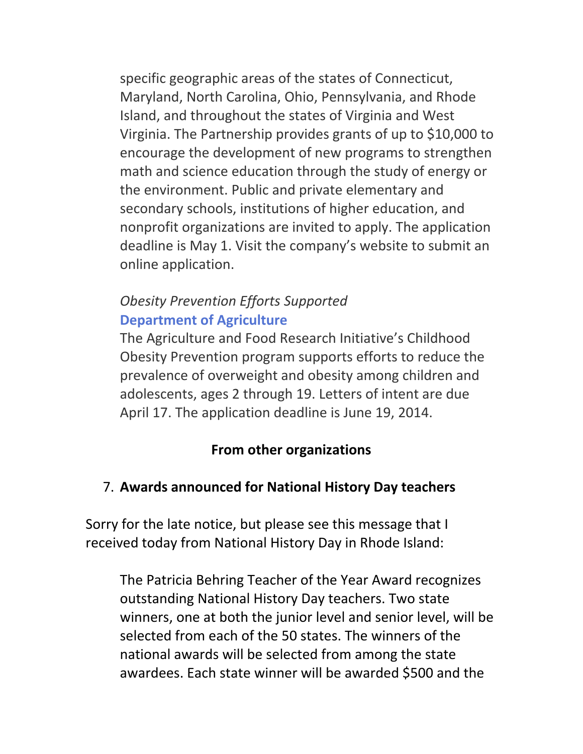specific geographic areas of the states of Connecticut, Maryland, North Carolina, Ohio, Pennsylvania, and Rhode Island, and throughout the states of Virginia and West Virginia. The Partnership provides grants of up to \$10,000 to encourage the development of new programs to strengthen math and science education through the study of energy or the environment. Public and private elementary and secondary schools, institutions of higher education, and nonprofit organizations are invited to apply. The application deadline is May 1. Visit the company's website to submit an online application.

## *Obesity Prevention Efforts Supported* **Department of Agriculture**

The Agriculture and Food Research Initiative's Childhood Obesity Prevention program supports efforts to reduce the prevalence of overweight and obesity among children and adolescents, ages 2 through 19. Letters of intent are due April 17. The application deadline is June 19, 2014.

## **From other organizations**

## 7. **Awards announced for National History Day teachers**

Sorry for the late notice, but please see this message that I received today from National History Day in Rhode Island:

The Patricia Behring Teacher of the Year Award recognizes outstanding National History Day teachers. Two state winners, one at both the junior level and senior level, will be selected from each of the 50 states. The winners of the national awards will be selected from among the state awardees. Each state winner will be awarded \$500 and the